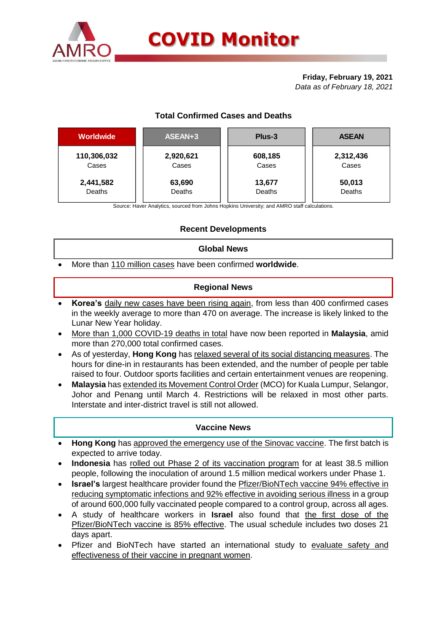

# **Friday, February 19, 2021**

*Data as of February 18, 2021*

### **Total Confirmed Cases and Deaths**

| <b>Worldwide</b> | ASEAN+3   | Plus-3  | <b>ASEAN</b> |  |  |
|------------------|-----------|---------|--------------|--|--|
| 110,306,032      | 2,920,621 | 608,185 | 2,312,436    |  |  |
| Cases            | Cases     | Cases   | Cases        |  |  |
| 2,441,582        | 63,690    | 13,677  | 50,013       |  |  |
| Deaths           | Deaths    | Deaths  | Deaths       |  |  |

Source: Haver Analytics, sourced from Johns Hopkins University; and AMRO staff calculations.

### **Recent Developments**

### **Global News**

More than 110 million cases have been confirmed **worldwide**.

### **Regional News**

- **Korea's** daily new cases have been rising again, from less than 400 confirmed cases in the weekly average to more than 470 on average. The increase is likely linked to the Lunar New Year holiday.
- More than 1,000 COVID-19 deaths in total have now been reported in **Malaysia**, amid more than 270,000 total confirmed cases.
- As of yesterday, **Hong Kong** has relaxed several of its social distancing measures. The hours for dine-in in restaurants has been extended, and the number of people per table raised to four. Outdoor sports facilities and certain entertainment venues are reopening.
- **Malaysia** has extended its Movement Control Order (MCO) for Kuala Lumpur, Selangor, Johor and Penang until March 4. Restrictions will be relaxed in most other parts. Interstate and inter-district travel is still not allowed.

#### **Vaccine News**

- **Hong Kong** has approved the emergency use of the Sinovac vaccine. The first batch is expected to arrive today.
- **Indonesia** has rolled out Phase 2 of its vaccination program for at least 38.5 million people, following the inoculation of around 1.5 million medical workers under Phase 1.
- **Israel's** largest healthcare provider found the Pfizer/BioNTech vaccine 94% effective in reducing symptomatic infections and 92% effective in avoiding serious illness in a group of around 600,000 fully vaccinated people compared to a control group, across all ages.
- A study of healthcare workers in **Israel** also found that the first dose of the Pfizer/BioNTech vaccine is 85% effective. The usual schedule includes two doses 21 days apart.
- Pfizer and BioNTech have started an international study to evaluate safety and effectiveness of their vaccine in pregnant women.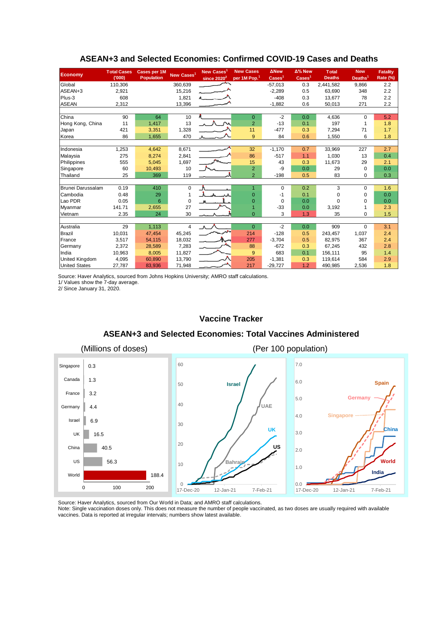| <b>Economy</b>        | <b>Total Cases</b><br>(000) | Cases per 1M<br><b>Population</b> | New Cases <sup>1</sup> | <b>New Cases</b><br>since $2020^2$ | <b>New Cases</b><br>per 1M Pop. <sup>1</sup> | <b>ANew</b><br>$\text{Case}$ <sup>1</sup> | Δ% New<br>$\overline{\text{Cases}}^1$ | <b>Total</b><br><b>Deaths</b> | <b>New</b><br>Deaths <sup>1</sup> | <b>Fatality</b><br>Rate (%) |
|-----------------------|-----------------------------|-----------------------------------|------------------------|------------------------------------|----------------------------------------------|-------------------------------------------|---------------------------------------|-------------------------------|-----------------------------------|-----------------------------|
| Global                | 110,306                     |                                   | 360,639                |                                    |                                              | $-57,013$                                 | 0.3                                   | 2,441,582                     | 9,866                             | 2.2                         |
| ASEAN+3               | 2,921                       |                                   | 15,216                 |                                    |                                              | $-2,289$                                  | 0.5                                   | 63.690                        | 348                               | 2.2                         |
| Plus-3                | 608                         |                                   | 1,821                  |                                    |                                              | $-408$                                    | 0.3                                   | 13.677                        | 78                                | 2.2                         |
| <b>ASEAN</b>          | 2,312                       |                                   | 13,396                 |                                    |                                              | $-1,882$                                  | 0.6                                   | 50,013                        | 271                               | 2.2                         |
|                       |                             |                                   |                        |                                    |                                              |                                           |                                       |                               |                                   |                             |
| China                 | 90                          | 64                                | 10                     |                                    | $\overline{0}$                               | $-2$                                      | 0.0                                   | 4,636                         | $\Omega$                          | 5.2                         |
| Hong Kong, China      | 11                          | 1,417                             | 13                     |                                    | $\overline{2}$                               | $-13$                                     | 0.1                                   | 197                           | 1                                 | 1.8                         |
| Japan                 | 421                         | 3,351                             | 1,328                  |                                    | 11                                           | $-477$                                    | 0.3                                   | 7,294                         | 71                                | 1.7                         |
| Korea                 | 86                          | 1,655                             | 470                    |                                    | 9                                            | 84                                        | 0.6                                   | 1,550                         | 6                                 | 1.8                         |
|                       |                             |                                   |                        |                                    |                                              |                                           |                                       |                               |                                   |                             |
| Indonesia             | 1,253                       | 4,642                             | 8,671                  |                                    | 32                                           | $-1.170$                                  | 0.7                                   | 33,969                        | 227                               | 2.7                         |
| Malaysia              | 275                         | 8,274                             | 2,841                  |                                    | 86                                           | $-517$                                    | 1.1                                   | 1,030                         | 13                                | 0.4                         |
| Philippines           | 555                         | 5,045                             | 1,697                  |                                    | 15                                           | 43                                        | 0.3                                   | 11,673                        | 29                                | 2.1                         |
| Singapore             | 60                          | 10,493                            | 10                     |                                    | $\overline{2}$                               | -9                                        | 0.0                                   | 29                            | $\Omega$                          | 0.0                         |
| Thailand              | 25                          | 369                               | 119                    |                                    | $\overline{2}$                               | $-198$                                    | 0.5                                   | 83                            | $\Omega$                          | 0.3                         |
|                       |                             |                                   |                        |                                    |                                              |                                           |                                       |                               |                                   |                             |
| Brunei Darussalam     | 0.19                        | 410                               | 0                      |                                    | $\mathbf{1}$                                 | $\Omega$                                  | 0.2                                   | 3                             | $\Omega$                          | 1.6                         |
| Cambodia              | 0.48                        | 29                                |                        |                                    | $\Omega$                                     | -1                                        | 0.1                                   | 0                             | $\mathbf 0$                       | 0.0                         |
| Lao PDR               | 0.05                        | 6                                 | $\Omega$               |                                    | $\Omega$                                     | $\Omega$                                  | 0.0                                   | $\Omega$                      | $\Omega$                          | 0.0                         |
| Myanmar               | 141.71                      | 2,655                             | 27                     |                                    |                                              | $-33$                                     | 0.0                                   | 3,192                         | 1                                 | 2.3                         |
| Vietnam               | 2.35                        | 24                                | 30                     |                                    | $\Omega$                                     | 3                                         | 1.3                                   | 35                            | $\Omega$                          | 1.5                         |
|                       |                             |                                   |                        |                                    |                                              |                                           |                                       |                               |                                   |                             |
| Australia             | 29                          | 1,113                             | 4                      |                                    | $\overline{0}$                               | $-2$                                      | 0.0                                   | 909                           | $\Omega$                          | 3.1                         |
| <b>Brazil</b>         | 10,031                      | 47,454                            | 45,245                 |                                    | 214                                          | $-128$                                    | 0.5                                   | 243,457                       | 1,037                             | 2.4                         |
| France                | 3,517                       | 54,115                            | 18,032                 |                                    | 277                                          | $-3,704$                                  | 0.5                                   | 82,975                        | 367                               | 2.4                         |
| Germany               | 2,372                       | 28,589                            | 7,283                  |                                    | 88                                           | $-672$                                    | 0.3                                   | 67,245                        | 432                               | 2.8                         |
| India                 | 10,963                      | 8,005                             | 11,827                 |                                    | 9                                            | 683                                       | 0.1                                   | 156.111                       | 95                                | 1.4                         |
| <b>United Kingdom</b> | 4,095                       | 60,890                            | 13,790                 |                                    | 205                                          | $-1,381$                                  | 0.3                                   | 119,614                       | 584                               | 2.9                         |
| <b>United States</b>  | 27,787                      | 83,936                            | 71,948                 |                                    | 217                                          | $-29,727$                                 | 1.2                                   | 490,985                       | 2,536                             | 1.8                         |

### **ASEAN+3 and Selected Economies: Confirmed COVID-19 Cases and Deaths**

Source: Haver Analytics, sourced from Johns Hopkins University; AMRO staff calculations.

1/ Values show the 7-day average.

2/ Since January 31, 2020.

#### **Vaccine Tracker**

#### **ASEAN+3 and Selected Economies: Total Vaccines Administered**



Source: Haver Analytics, sourced from Our World in Data; and AMRO staff calculations.

Note: Single vaccination doses only. This does not measure the number of people vaccinated, as two doses are usually required with available vaccines. Data is reported at irregular intervals; numbers show latest available.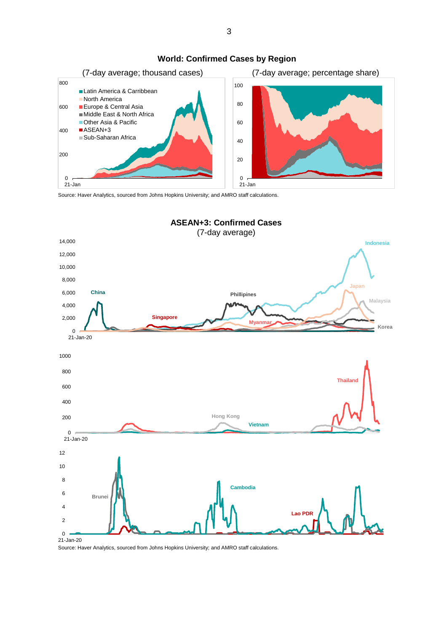

# **World: Confirmed Cases by Region**

Source: Haver Analytics, sourced from Johns Hopkins University; and AMRO staff calculations.



Source: Haver Analytics, sourced from Johns Hopkins University; and AMRO staff calculations.